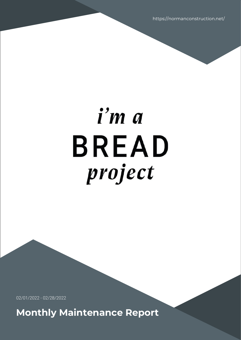https://normanconstruction.net/

# i'm a **BREAD** project

02/01/2022 - 02/28/2022

**Monthly Maintenance Report**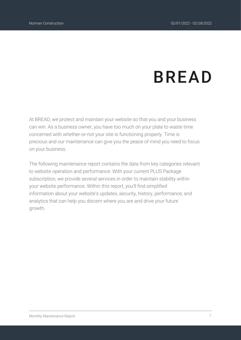# **BREAD**

At BREAD, we protect and maintain your website so that you and your business can win. As a business owner, you have too much on your plate to waste time concerned with whether-or-not your site is functioning properly. Time is precious and our maintenance can give you the peace of mind you need to focus on your business.

The following maintenance report contains the data from key categories relevant to website operation and performance. With your current PLUS Package subscription, we provide several services in order to maintain stability within your website performance. Within this report, you'll find simplified information about your website's updates, security, history, performance, and analytics that can help you discern where you are and drive your future growth.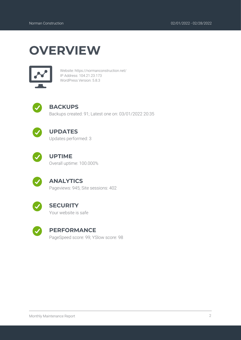### **OVERVIEW**



Website: https://normanconstruction.net/ IP Address: 104.21.23.173 WordPress Version: 5.8.3



#### **BACKUPS**

Backups created: 91; Latest one on: 03/01/2022 20:35



#### **UPDATES**

Updates performed: 3



#### **UPTIME**

Overall uptime: 100.000%



#### **ANALYTICS**

Pageviews: 945; Site sessions: 402



#### **SECURITY**

Your website is safe



#### **PERFORMANCE**

PageSpeed score: 99; YSlow score: 98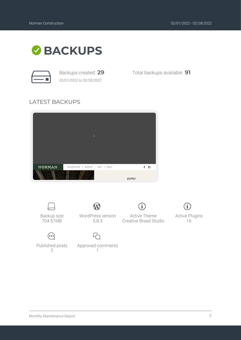

*02/01/2022 to 02/28/2022*

Backups created: **29** Total backups available: **91**

#### LATEST BACKUPS



1



 $\mathcal{P}$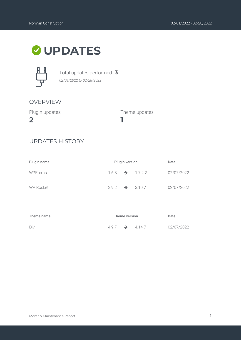## **UPDATES**



Total updates performed: **3** *02/01/2022 to 02/28/2022*

#### OVERVIEW

Plugin updates

**2**

Theme updates

#### UPDATES HISTORY

| Plugin name      | Plugin version             |  |                             | Date       |
|------------------|----------------------------|--|-----------------------------|------------|
| WPForms          |                            |  | $1.6.8 \rightarrow 1.7.2.2$ | 02/07/2022 |
| <b>WP Rocket</b> | $3.9.2 \rightarrow 3.10.7$ |  |                             | 02/07/2022 |

**1**

| Theme name |                            | Theme version | Date       |
|------------|----------------------------|---------------|------------|
| Divi       | $4.9.7 \rightarrow 4.14.7$ |               | 02/07/2022 |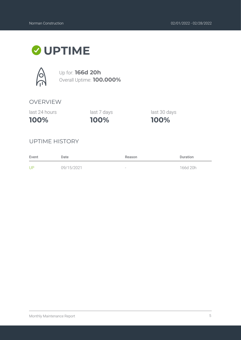### **UPTIME**



Up for: **166d 20h** Overall Uptime: **100.000%**

#### OVERVIEW

last 24 hours

**100%**

**100%** last 7 days last 30 days

**100%**

#### UPTIME HISTORY

| Event | Date       | Reason | <b>Duration</b> |
|-------|------------|--------|-----------------|
| UP    | 09/15/2021 | $\sim$ | 166d 20h        |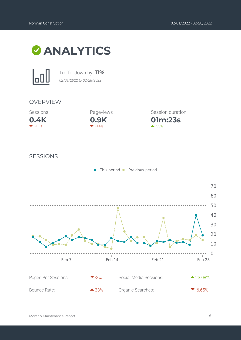



Traffic down by: **11%** *02/01/2022 to 02/28/2022*

#### OVERVIEW





**01m:23s** Session duration

 $\triangle$  33%

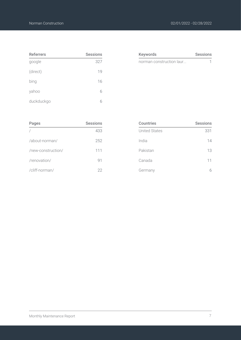| <b>Referrers</b> | <b>Sessions</b> |
|------------------|-----------------|
| google           | 327             |
| (direct)         | 19              |
| bing             | 16              |
| yahoo            | 6               |
| duckduckgo       |                 |

| <b>Keywords</b>          | <b>Sessions</b> |
|--------------------------|-----------------|
| norman construction laur |                 |
|                          |                 |

| Pages              | <b>Sessions</b> |
|--------------------|-----------------|
|                    | 433             |
| /about-norman/     | 252             |
| /new-construction/ | 111             |
| /renovation/       | 91              |
| /cliff-norman/     | 22              |

| <b>Countries</b>     | <b>Sessions</b> |
|----------------------|-----------------|
| <b>United States</b> | 331             |
| India                | 14              |
| Pakistan             | 13              |
| Canada               | 11              |
| Germany              |                 |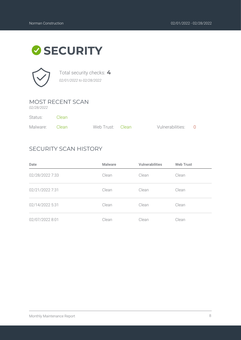# **SECURITY**



Total security checks: **4** *02/01/2022 to 02/28/2022*

#### MOST RECENT SCAN

*02/28/2022*

| Status:        | – Clean |                  |                    |  |
|----------------|---------|------------------|--------------------|--|
| Malware: Clean |         | Web Trust: Clean | Vulnerabilities: 0 |  |

#### SECURITY SCAN HISTORY

| Date            | <b>Malware</b> | <b>Vulnerabilities</b> | <b>Web Trust</b> |
|-----------------|----------------|------------------------|------------------|
| 02/28/2022 7:33 | Clean          | Clean                  | Clean            |
| 02/21/2022 7:31 | Clean          | Clean                  | Clean            |
| 02/14/2022 5:31 | Clean          | Clean                  | Clean            |
| 02/07/2022 8:01 | Clean          | Clean                  | Clean            |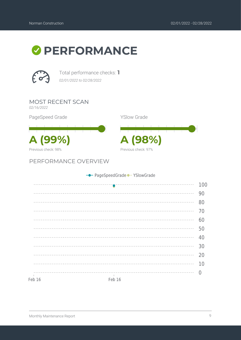



Total performance checks: **1** *02/01/2022 to 02/28/2022*

MOST RECENT SCAN

*02/16/2022*

PageSpeed Grade

**A (99%) A (98%)** Previous check: 98%

PERFORMANCE OVERVIEW

YSlow Grade



|        | - PageSpeedGrade - YSlowGrade                       |     |
|--------|-----------------------------------------------------|-----|
|        |                                                     | 100 |
|        |                                                     | 90  |
|        |                                                     | 80  |
|        |                                                     | 70  |
|        |                                                     | 60  |
|        |                                                     | 50  |
|        |                                                     | 40  |
|        |                                                     | 30  |
|        |                                                     | 20  |
|        |                                                     | 10  |
|        | -----------------------------------<br>$\mathbf{1}$ |     |
| Feb 16 | Feb 16                                              |     |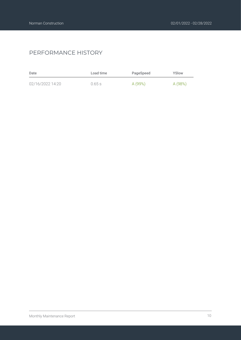#### PERFORMANCE HISTORY

| Date             | Load time | PageSpeed | YSlow   |
|------------------|-----------|-----------|---------|
| 02/16/2022 14:20 | $0.65$ s  | A (99%)   | A (98%) |